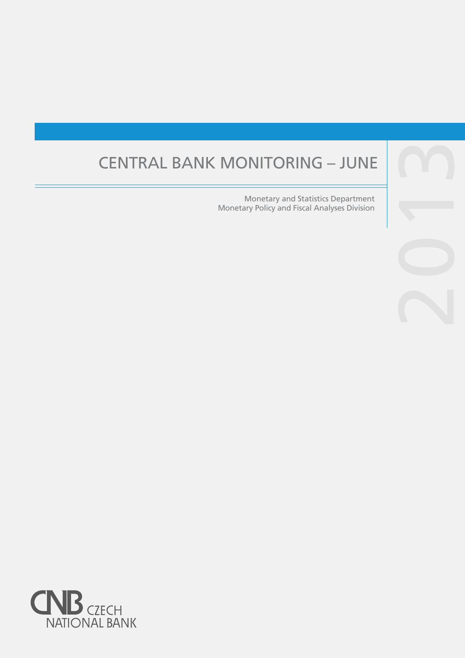# CENTRAL BANK MONITORING – JUNE

Monetary and Statistics Department Monetary Policy and Fiscal Analyses Division



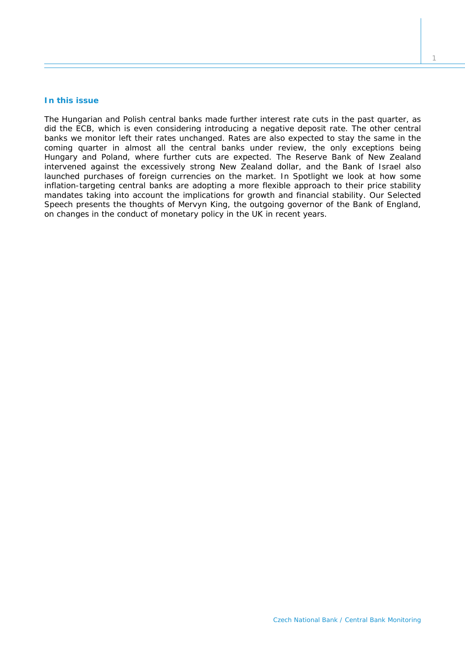## **In this issue**

*The Hungarian and Polish central banks made further interest rate cuts in the past quarter, as did the ECB, which is even considering introducing a negative deposit rate. The other central banks we monitor left their rates unchanged. Rates are also expected to stay the same in the*  coming quarter in almost all the central banks under review, the only exceptions being *Hungary and Poland, where further cuts are expected. The Reserve Bank of New Zealand intervened against the excessively strong New Zealand dollar, and the Bank of Israel also launched purchases of foreign currencies on the market. In* Spotlight *we look at how some inflation-targeting central banks are adopting a more flexible approach to their price stability mandates taking into account the implications for growth and financial stability. Our Selected* Speech *presents the thoughts of Mervyn King, the outgoing governor of the Bank of England, on changes in the conduct of monetary policy in the UK in recent years.*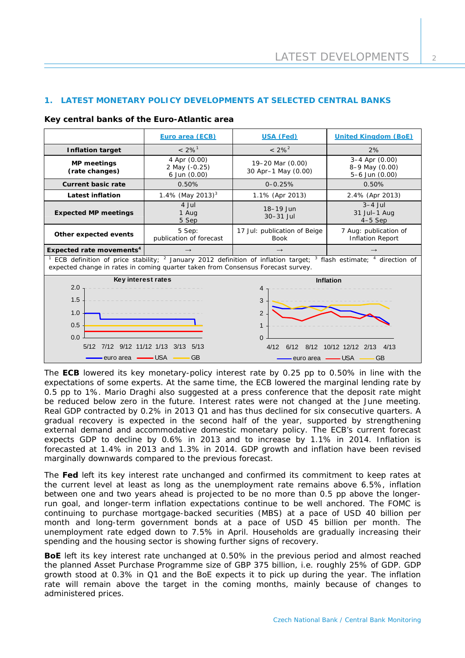# **1. LATEST MONETARY POLICY DEVELOPMENTS AT SELECTED CENTRAL BANKS**

### **Key central banks of the Euro-Atlantic area**

|                                                                                                                                                                                                                 | Euro area (ECB)                               | USA (Fed)                                                                                   | <b>United Kingdom (BoE)</b>                                           |  |  |
|-----------------------------------------------------------------------------------------------------------------------------------------------------------------------------------------------------------------|-----------------------------------------------|---------------------------------------------------------------------------------------------|-----------------------------------------------------------------------|--|--|
| <b>Inflation target</b>                                                                                                                                                                                         | $< 2\%$ <sup>1</sup>                          | $< 2\%^{2}$                                                                                 | 2%                                                                    |  |  |
| <b>MP</b> meetings<br>(rate changes)                                                                                                                                                                            | 4 Apr (0.00)<br>2 May (-0.25)<br>6 Jun (0.00) | 19-20 Mar (0.00)<br>30 Apr-1 May (0.00)                                                     | $3-4$ Apr $(0.00)$<br>8-9 May (0.00)<br>5-6 Jun (0.00)                |  |  |
| <b>Current basic rate</b>                                                                                                                                                                                       | 0.50%                                         | $0 - 0.25%$                                                                                 | 0.50%                                                                 |  |  |
| <b>Latest inflation</b>                                                                                                                                                                                         | 1.4% (May 2013) <sup>3</sup>                  | 1.1% (Apr 2013)                                                                             | 2.4% (Apr 2013)                                                       |  |  |
| <b>Expected MP meetings</b>                                                                                                                                                                                     | 4 Jul<br>1 Aug<br>5 Sep                       | 18-19 Jun<br>30-31 Jul                                                                      | $3-4$ Jul<br>31 Jul-1 Aug<br>$4-5$ Sep                                |  |  |
| Other expected events                                                                                                                                                                                           | 5 Sep:<br>publication of forecast             | 17 Jul: publication of Beige<br><b>Book</b>                                                 | 7 Aug: publication of<br><b>Inflation Report</b>                      |  |  |
| Expected rate movements <sup>4</sup>                                                                                                                                                                            | $\rightarrow$                                 | $\rightarrow$                                                                               | $\rightarrow$                                                         |  |  |
| ECB definition of price stability; $^2$ January 2012 definition of inflation target; $^3$ flash estimate; $^4$ direction of<br>expected change in rates in coming quarter taken from Consensus Forecast survey. |                                               |                                                                                             |                                                                       |  |  |
| Key interest rates<br>2.0<br>1.5<br>1.0<br>0.5<br>0.0<br>7/12 9/12 11/12 1/13<br>5/12<br>3/13<br>5/13<br>- USA<br><b>GB</b><br>-euro area                                                                       |                                               | 4<br>3<br>$\overline{2}$<br>$\mathbf{1}$<br>$\Omega$<br>4/12<br>6/12<br>8/12<br>euro area - | <b>Inflation</b><br>10/12 12/12<br>2/13<br>4/13<br><b>GB</b><br>- USA |  |  |

The **ECB** lowered its key monetary-policy interest rate by 0.25 pp to 0.50% in line with the expectations of some experts. At the same time, the ECB lowered the marginal lending rate by 0.5 pp to 1%. Mario Draghi also suggested at a press conference that the deposit rate might be reduced below zero in the future. Interest rates were not changed at the June meeting. Real GDP contracted by 0.2% in 2013 Q1 and has thus declined for six consecutive quarters. A gradual recovery is expected in the second half of the year, supported by strengthening external demand and accommodative domestic monetary policy. The ECB's current forecast expects GDP to decline by 0.6% in 2013 and to increase by 1.1% in 2014. Inflation is forecasted at 1.4% in 2013 and 1.3% in 2014. GDP growth and inflation have been revised marginally downwards compared to the previous forecast.

The **Fed** left its key interest rate unchanged and confirmed its commitment to keep rates at the current level at least as long as the unemployment rate remains above 6.5%, inflation between one and two years ahead is projected to be no more than 0.5 pp above the longerrun goal, and longer-term inflation expectations continue to be well anchored. The FOMC is continuing to purchase mortgage-backed securities (MBS) at a pace of USD 40 billion per month and long-term government bonds at a pace of USD 45 billion per month. The unemployment rate edged down to 7.5% in April. Households are gradually increasing their spending and the housing sector is showing further signs of recovery.

**BoE** left its key interest rate unchanged at 0.50% in the previous period and almost reached the planned Asset Purchase Programme size of GBP 375 billion, i.e. roughly 25% of GDP. GDP growth stood at 0.3% in Q1 and the BoE expects it to pick up during the year. The inflation rate will remain above the target in the coming months, mainly because of changes to administered prices.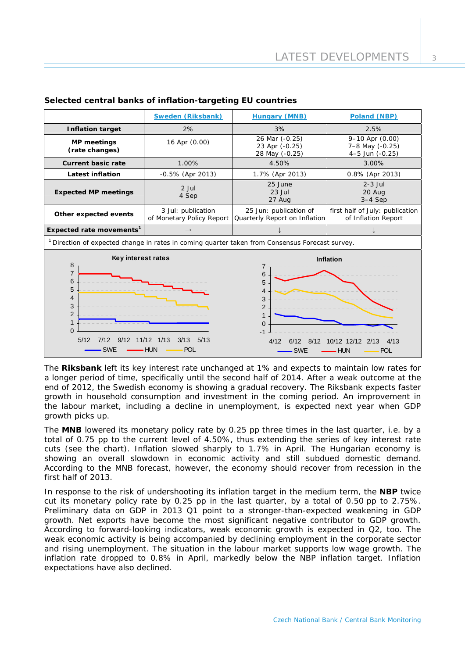|                                                                                                                                                                                                                                                                                                                                                             | <b>Sweden (Riksbank)</b>                        | <b>Hungary (MNB)</b>                                    | Poland (NBP)                                                |  |
|-------------------------------------------------------------------------------------------------------------------------------------------------------------------------------------------------------------------------------------------------------------------------------------------------------------------------------------------------------------|-------------------------------------------------|---------------------------------------------------------|-------------------------------------------------------------|--|
| <b>Inflation target</b>                                                                                                                                                                                                                                                                                                                                     | 2%                                              | 3%                                                      | 2.5%                                                        |  |
| <b>MP</b> meetings<br>(rate changes)                                                                                                                                                                                                                                                                                                                        | 16 Apr (0.00)                                   | 26 Mar (-0.25)<br>23 Apr (-0.25)<br>28 May (-0.25)      | $9 - 10$ Apr $(0.00)$<br>7-8 May (-0.25)<br>4-5 Jun (-0.25) |  |
| <b>Current basic rate</b>                                                                                                                                                                                                                                                                                                                                   | 1.00%                                           | 4.50%                                                   | 3.00%                                                       |  |
| <b>Latest inflation</b>                                                                                                                                                                                                                                                                                                                                     | -0.5% (Apr 2013)                                | 1.7% (Apr 2013)                                         | 0.8% (Apr 2013)                                             |  |
| <b>Expected MP meetings</b>                                                                                                                                                                                                                                                                                                                                 | $2$ Jul<br>4 Sep                                | 25 June<br>$23$ Jul<br>27 Aug                           | $2-3$ Jul<br>20 Aug<br>$3-4$ Sep                            |  |
| Other expected events                                                                                                                                                                                                                                                                                                                                       | 3 Jul: publication<br>of Monetary Policy Report | 25 Jun: publication of<br>Quarterly Report on Inflation | first half of July: publication<br>of Inflation Report      |  |
| Expected rate movements <sup>1</sup>                                                                                                                                                                                                                                                                                                                        | $\rightarrow$                                   |                                                         |                                                             |  |
| <sup>1</sup> Direction of expected change in rates in coming quarter taken from Consensus Forecast survey.                                                                                                                                                                                                                                                  |                                                 |                                                         |                                                             |  |
| Key interest rates<br>Inflation<br>8<br>7<br>$\overline{7}$<br>6<br>6<br>5<br>5<br>4<br>4<br>3<br>3<br>2<br>$\overline{2}$<br>1<br>1<br>$\Omega$<br>$\Omega$<br>$-1$<br>5/12<br>11/12 1/13<br>3/13<br>5/13<br>7/12<br>9/12<br>4/12<br>6/12<br>8/12<br>10/12 12/12<br>2/13<br>4/13<br><b>SWE</b><br>- HUN<br><b>POL</b><br><b>SWE</b><br>- HUN<br><b>POL</b> |                                                 |                                                         |                                                             |  |

# **Selected central banks of inflation-targeting EU countries**

The **Riksbank** left its key interest rate unchanged at 1% and expects to maintain low rates for a longer period of time, specifically until the second half of 2014. After a weak outcome at the end of 2012, the Swedish economy is showing a gradual recovery. The Riksbank expects faster growth in household consumption and investment in the coming period. An improvement in the labour market, including a decline in unemployment, is expected next year when GDP growth picks up.

The **MNB** lowered its monetary policy rate by 0.25 pp three times in the last quarter, i.e. by a total of 0.75 pp to the current level of 4.50%, thus extending the series of key interest rate cuts (see the chart). Inflation slowed sharply to 1.7% in April. The Hungarian economy is showing an overall slowdown in economic activity and still subdued domestic demand. According to the MNB forecast, however, the economy should recover from recession in the first half of 2013.

In response to the risk of undershooting its inflation target in the medium term, the **NBP** twice cut its monetary policy rate by 0.25 pp in the last quarter, by a total of 0.50 pp to 2.75%. Preliminary data on GDP in 2013 Q1 point to a stronger-than-expected weakening in GDP growth. Net exports have become the most significant negative contributor to GDP growth. According to forward-looking indicators, weak economic growth is expected in Q2, too. The weak economic activity is being accompanied by declining employment in the corporate sector and rising unemployment. The situation in the labour market supports low wage growth. The inflation rate dropped to 0.8% in April, markedly below the NBP inflation target. Inflation expectations have also declined.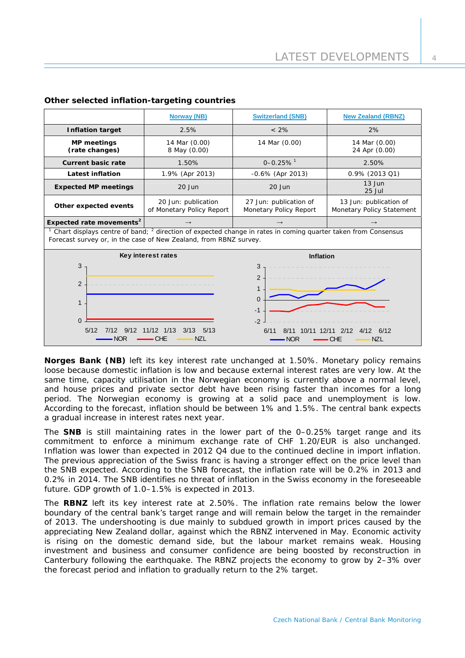|                                                                                                                                                                                               | <b>Norway (NB)</b>                                   | <b>Switzerland (SNB)</b>                                                                                                   | <b>New Zealand (RBNZ)</b>                           |  |  |
|-----------------------------------------------------------------------------------------------------------------------------------------------------------------------------------------------|------------------------------------------------------|----------------------------------------------------------------------------------------------------------------------------|-----------------------------------------------------|--|--|
| <b>Inflation target</b>                                                                                                                                                                       | 2.5%                                                 | $< 2\%$                                                                                                                    | 2%                                                  |  |  |
| <b>MP</b> meetings<br>(rate changes)                                                                                                                                                          | 14 Mar (0.00)<br>8 May (0.00)                        | 14 Mar (0.00)                                                                                                              | 14 Mar (0.00)<br>24 Apr (0.00)                      |  |  |
| <b>Current basic rate</b>                                                                                                                                                                     | 1.50%                                                | $0 - 0.25\%$ <sup>1</sup>                                                                                                  | 2.50%                                               |  |  |
| <b>Latest inflation</b>                                                                                                                                                                       | 1.9% (Apr 2013)                                      | $-0.6\%$ (Apr 2013)                                                                                                        | 0.9% (2013 Q1)                                      |  |  |
| <b>Expected MP meetings</b>                                                                                                                                                                   | $20$ Jun                                             | $20$ Jun                                                                                                                   | $13$ Jun<br>25 Jul                                  |  |  |
| Other expected events                                                                                                                                                                         | 20 Jun: publication<br>of Monetary Policy Report     | 27 Jun: publication of<br>Monetary Policy Report                                                                           | 13 Jun: publication of<br>Monetary Policy Statement |  |  |
| Expected rate movements <sup>2</sup>                                                                                                                                                          |                                                      | $\rightarrow$                                                                                                              | $\rightarrow$                                       |  |  |
| Chart displays centre of band; <sup>2</sup> direction of expected change in rates in coming quarter taken from Consensus<br>Forecast survey or, in the case of New Zealand, from RBNZ survey. |                                                      |                                                                                                                            |                                                     |  |  |
| 3<br>2<br>$\mathbf{1}$<br>$\Omega$<br>5/12<br>9/12                                                                                                                                            | Key interest rates<br>$11/12$ $1/13$<br>5/13<br>3/13 | <b>Inflation</b><br>3<br>$\overline{2}$<br>1<br>$\Omega$<br>$-1$<br>$-2$<br>6/11<br>10/11<br>2/12<br>12/11<br>4/12<br>6/12 |                                                     |  |  |
| <b>NZL</b><br>CHE<br>NZL<br>NOR<br><b>NOR</b><br>CHE                                                                                                                                          |                                                      |                                                                                                                            |                                                     |  |  |

# **Other selected inflation-targeting countries**

**Norges Bank (NB)** left its key interest rate unchanged at 1.50%. Monetary policy remains loose because domestic inflation is low and because external interest rates are very low. At the same time, capacity utilisation in the Norwegian economy is currently above a normal level, and house prices and private sector debt have been rising faster than incomes for a long period. The Norwegian economy is growing at a solid pace and unemployment is low. According to the forecast, inflation should be between 1% and 1.5%. The central bank expects a gradual increase in interest rates next year.

The **SNB** is still maintaining rates in the lower part of the 0–0.25% target range and its commitment to enforce a minimum exchange rate of CHF 1.20/EUR is also unchanged. Inflation was lower than expected in 2012 Q4 due to the continued decline in import inflation. The previous appreciation of the Swiss franc is having a stronger effect on the price level than the SNB expected. According to the SNB forecast, the inflation rate will be 0.2% in 2013 and 0.2% in 2014. The SNB identifies no threat of inflation in the Swiss economy in the foreseeable future. GDP growth of 1.0–1.5% is expected in 2013.

The **RBNZ** left its key interest rate at 2.50%. The inflation rate remains below the lower boundary of the central bank's target range and will remain below the target in the remainder of 2013. The undershooting is due mainly to subdued growth in import prices caused by the appreciating New Zealand dollar, against which the RBNZ intervened in May. Economic activity is rising on the domestic demand side, but the labour market remains weak. Housing investment and business and consumer confidence are being boosted by reconstruction in Canterbury following the earthquake. The RBNZ projects the economy to grow by 2–3% over the forecast period and inflation to gradually return to the 2% target.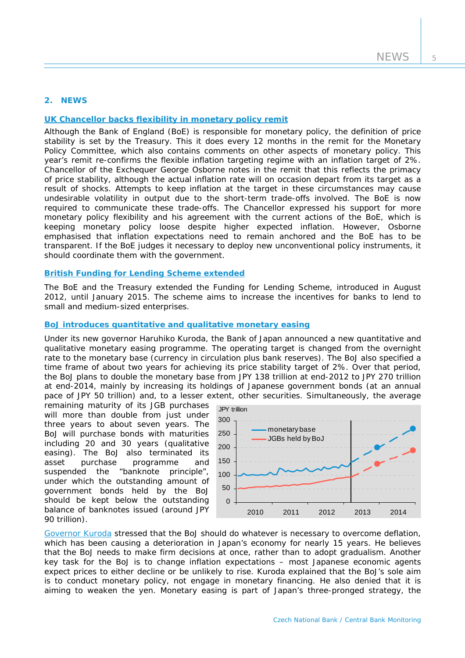# **2. NEWS**

# **[UK Chancellor backs flexibility in monetary policy remit](https://www.gov.uk/government/uploads/system/uploads/attachment_data/file/185552/chx_letter_to_boe_monetary_policy_framework_200313.pdf.pdf)**

Although the Bank of England (BoE) is responsible for monetary policy, the definition of price stability is set by the Treasury. This it does every 12 months in the remit for the Monetary Policy Committee, which also contains comments on other aspects of monetary policy. This year's remit re-confirms the flexible inflation targeting regime with an inflation target of 2%. Chancellor of the Exchequer George Osborne notes in the remit that this reflects the primacy of price stability, although the actual inflation rate will on occasion depart from its target as a result of shocks. Attempts to keep inflation at the target in these circumstances may cause undesirable volatility in output due to the short-term trade-offs involved. The BoE is now required to communicate these trade-offs. The Chancellor expressed his support for more monetary policy flexibility and his agreement with the current actions of the BoE, which is keeping monetary policy loose despite higher expected inflation. However, Osborne emphasised that inflation expectations need to remain anchored and the BoE has to be transparent. If the BoE judges it necessary to deploy new unconventional policy instruments, it should coordinate them with the government.

### **[British Funding for Lending Scheme extended](http://www.bankofengland.co.uk/publications/Pages/news/2013/061.aspx)**

The BoE and the Treasury extended the Funding for Lending Scheme, introduced in August 2012, until January 2015. The scheme aims to increase the incentives for banks to lend to small and medium-sized enterprises.

## **[BoJ introduces quantitative and qualitative monetary easing](http://www.boj.or.jp/en/announcements/release_2013/k130404a.pdf)**

Under its new governor Haruhiko Kuroda, the Bank of Japan announced a new quantitative and qualitative monetary easing programme. The operating target is changed from the overnight rate to the monetary base (currency in circulation plus bank reserves). The BoJ also specified a time frame of about two years for achieving its price stability target of 2%. Over that period, the BoJ plans to double the monetary base from JPY 138 trillion at end-2012 to JPY 270 trillion at end-2014, mainly by increasing its holdings of Japanese government bonds (at an annual pace of JPY 50 trillion) and, to a lesser extent, other securities. Simultaneously, the average

remaining maturity of its JGB purchases will more than double from just under three years to about seven years. The BoJ will purchase bonds with maturities including 20 and 30 years (qualitative easing). The BoJ also terminated its asset purchase programme and suspended the "banknote principle", under which the outstanding amount of government bonds held by the BoJ should be kept below the outstanding balance of banknotes issued (around JPY 90 trillion).



[Governor Kuroda](http://www.boj.or.jp/en/announcements/press/koen_2013/data/ko130412a1.pdf) stressed that the BoJ should do whatever is necessary to overcome deflation, which has been causing a deterioration in Japan's economy for nearly 15 years. He believes that the BoJ needs to make firm decisions at once, rather than to adopt gradualism. Another key task for the BoJ is to change inflation expectations – most Japanese economic agents expect prices to either decline or be unlikely to rise. Kuroda explained that the BoJ's sole aim is to conduct monetary policy, not engage in monetary financing. He also denied that it is aiming to weaken the yen. Monetary easing is part of Japan's three-pronged strategy, the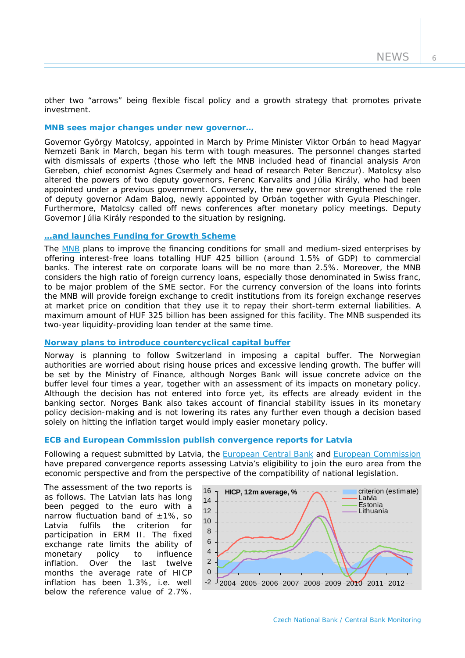other two "arrows" being flexible fiscal policy and a growth strategy that promotes private investment.

# **MNB sees major changes under new governor…**

Governor György Matolcsy, appointed in March by Prime Minister Viktor Orbán to head Magyar Nemzeti Bank in March, began his term with tough measures. The personnel changes started with dismissals of experts (those who left the MNB included head of financial analysis Aron Gereben, chief economist Agnes Csermely and head of research Peter Benczur). Matolcsy also altered the powers of two deputy governors, Ferenc Karvalits and Júlia Király, who had been appointed under a previous government. Conversely, the new governor strengthened the role of deputy governor Adam Balog, newly appointed by Orbán together with Gyula Pleschinger. Furthermore, Matolcsy called off news conferences after monetary policy meetings. Deputy Governor Júlia Király responded to the situation by resigning.

### **[…and launches Funding for Growth Scheme](http://www.bloomberg.com/news/2013-05-29/hungary-central-bank-expands-funding-plan-to-boost-growth.html)**

The [MNB](http://english.mnb.hu/Root/Dokumentumtar/ENMNB/Sajtoszoba/mnben_sajtokozlemenyek/hatteranyag_20130404_en.pdf) plans to improve the financing conditions for small and medium-sized enterprises by offering interest-free loans totalling HUF 425 billion (around 1.5% of GDP) to commercial banks. The interest rate on corporate loans will be no more than 2.5%. Moreover, the MNB considers the high ratio of foreign currency loans, especially those denominated in Swiss franc, to be major problem of the SME sector. For the currency conversion of the loans into forints the MNB will provide foreign exchange to credit institutions from its foreign exchange reserves at market price on condition that they use it to repay their short-term external liabilities. A maximum amount of HUF 325 billion has been assigned for this facility. The MNB suspended its two-year liquidity-providing loan tender at the same time.

### **[Norway plans to introduce countercyclical capital buffer](http://www.norges-bank.no/en/about/published/speeches/2013/aci-norge/)**

Norway is planning to follow Switzerland in imposing a capital buffer. The Norwegian authorities are worried about rising house prices and excessive lending growth. The buffer will be set by the Ministry of Finance, although Norges Bank will issue concrete advice on the buffer level four times a year, together with an assessment of its impacts on monetary policy. Although the decision has not entered into force yet, its effects are already evident in the banking sector. Norges Bank also takes account of financial stability issues in its monetary policy decision-making and is not lowering its rates any further even though a decision based solely on hitting the inflation target would imply easier monetary policy.

### **ECB and European Commission publish convergence reports for Latvia**

Following a request submitted by Latvia, the [European Central Bank](http://www.ecb.int/pub/pdf/conrep/cr201306en.pdf) and [European Commission](http://ec.europa.eu/economy_finance/publications/european_economy/2013/pdf/ee3_en.pdf) have prepared convergence reports assessing Latvia's eligibility to join the euro area from the economic perspective and from the perspective of the compatibility of national legislation.

The assessment of the two reports is as follows. The Latvian lats has long been pegged to the euro with a narrow fluctuation band of  $\pm 1\%$ , so Latvia fulfils the criterion for participation in ERM II. The fixed exchange rate limits the ability of monetary policy to influence inflation. Over the last twelve months the average rate of HICP inflation has been 1.3%, i.e. well below the reference value of 2.7%.

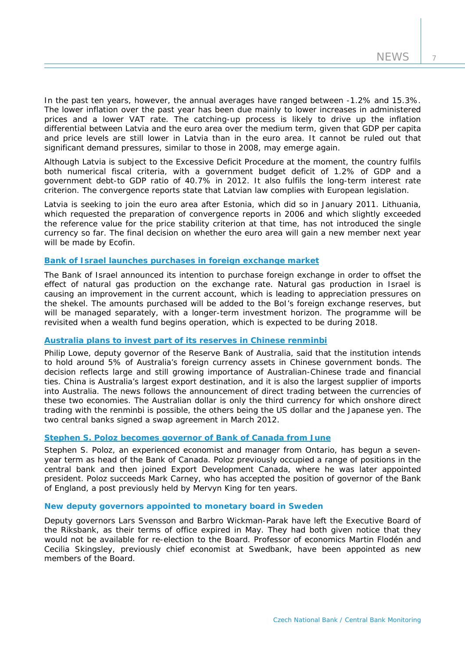7

In the past ten years, however, the annual averages have ranged between -1.2% and 15.3%. The lower inflation over the past year has been due mainly to lower increases in administered prices and a lower VAT rate. The catching-up process is likely to drive up the inflation differential between Latvia and the euro area over the medium term, given that GDP per capita and price levels are still lower in Latvia than in the euro area. It cannot be ruled out that significant demand pressures, similar to those in 2008, may emerge again.

Although Latvia is subject to the Excessive Deficit Procedure at the moment, the country fulfils both numerical fiscal criteria, with a government budget deficit of 1.2% of GDP and a government debt-to GDP ratio of 40.7% in 2012. It also fulfils the long-term interest rate criterion. The convergence reports state that Latvian law complies with European legislation.

Latvia is seeking to join the euro area after Estonia, which did so in January 2011. Lithuania, which requested the preparation of convergence reports in 2006 and which slightly exceeded the reference value for the price stability criterion at that time, has not introduced the single currency so far. The final decision on whether the euro area will gain a new member next year will be made by Ecofin.

## **[Bank of Israel launches purchases in foreign exchange market](http://www.boi.org.il/en/NewsAndPublications/PressReleases/Pages/13052013m.aspx)**

The Bank of Israel announced its intention to purchase foreign exchange in order to offset the effect of natural gas production on the exchange rate. Natural gas production in Israel is causing an improvement in the current account, which is leading to appreciation pressures on the shekel. The amounts purchased will be added to the BoI's foreign exchange reserves, but will be managed separately, with a longer-term investment horizon. The programme will be revisited when a wealth fund begins operation, which is expected to be during 2018.

# **[Australia plans to invest part of its reserves in Chinese renminbi](http://www.rba.gov.au/speeches/2013/sp-dg-240413.html)**

Philip Lowe, deputy governor of the Reserve Bank of Australia, said that the institution intends to hold around 5% of Australia's foreign currency assets in Chinese government bonds. The decision reflects large and still growing importance of Australian-Chinese trade and financial ties. China is Australia's largest export destination, and it is also the largest supplier of imports into Australia. The news follows the announcement of direct trading between the currencies of these two economies. The Australian dollar is only the third currency for which onshore direct trading with the renminbi is possible, the others being the US dollar and the Japanese yen. The two central banks signed a swap agreement in March 2012.

## **[Stephen S. Poloz becomes governor of Bank of Canada from June](http://www.bankofcanada.ca/2013/05/press-releases/stephen-poloz-appointed-governor-of-bank-of-canada/)**

Stephen S. Poloz, an experienced economist and manager from Ontario, has begun a sevenyear term as head of the Bank of Canada. Poloz previously occupied a range of positions in the central bank and then joined Export Development Canada, where he was later appointed president. Poloz succeeds Mark Carney, who has accepted the position of governor of the Bank of England, a post previously held by Mervyn King for ten years.

#### **New deputy governors appointed to monetary board in Sweden**

Deputy governors Lars Svensson and Barbro Wickman-Parak have left the Executive Board of the Riksbank, as their terms of office expired in May. They had both given notice that they would not be available for re-election to the Board. Professor of economics Martin Flodén and Cecilia Skingsley, previously chief economist at Swedbank, have been appointed as new members of the Board.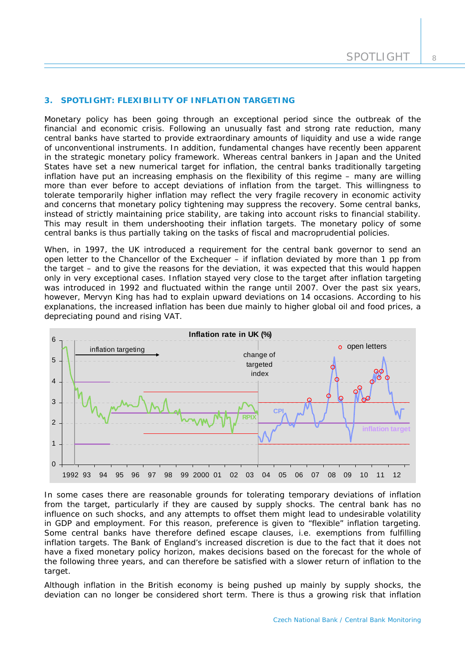## **3. SPOTLIGHT: FLEXIBILITY OF INFLATION TARGETING**

*Monetary policy has been going through an exceptional period since the outbreak of the financial and economic crisis. Following an unusually fast and strong rate reduction, many central banks have started to provide extraordinary amounts of liquidity and use a wide range of unconventional instruments. In addition, fundamental changes have recently been apparent in the strategic monetary policy framework. Whereas central bankers in Japan and the United States have set a new numerical target for inflation, the central banks traditionally targeting inflation have put an increasing emphasis on the flexibility of this regime – many are willing more than ever before to accept deviations of inflation from the target. This willingness to tolerate temporarily higher inflation may reflect the very fragile recovery in economic activity and concerns that monetary policy tightening may suppress the recovery. Some central banks, instead of strictly maintaining price stability, are taking into account risks to financial stability. This may result in them undershooting their inflation targets. The monetary policy of some central banks is thus partially taking on the tasks of fiscal and macroprudential policies.* 

When, in 1997, the UK introduced a requirement for the central bank governor to send an open letter to the Chancellor of the Exchequer – if inflation deviated by more than 1 pp from the target – and to give the reasons for the deviation, it was expected that this would happen only in very exceptional cases. Inflation stayed very close to the target after inflation targeting was introduced in 1992 and fluctuated within the range until 2007. Over the past six years, however, Mervyn King has had to explain upward deviations on 14 occasions. According to his explanations, the increased inflation has been due mainly to higher global oil and food prices, a depreciating pound and rising VAT.



In some cases there are reasonable grounds for tolerating temporary deviations of inflation from the target, particularly if they are caused by supply shocks. The central bank has no influence on such shocks, and any attempts to offset them might lead to undesirable volatility in GDP and employment. For this reason, preference is given to "flexible" inflation targeting. Some central banks have therefore defined escape clauses, i.e. exemptions from fulfilling inflation targets. The Bank of England's increased discretion is due to the fact that it does not have a fixed monetary policy horizon, makes decisions based on the forecast for the whole of the following three years, and can therefore be satisfied with a slower return of inflation to the target.

Although inflation in the British economy is being pushed up mainly by supply shocks, the deviation can no longer be considered short term. There is thus a growing risk that inflation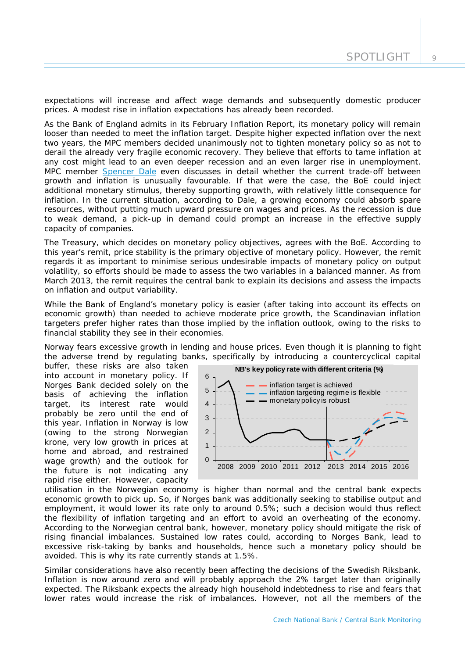expectations will increase and affect wage demands and subsequently domestic producer prices. A modest rise in inflation expectations has already been recorded.

As the Bank of England admits in its February Inflation Report, its monetary policy will remain looser than needed to meet the inflation target. Despite higher expected inflation over the next two years, the MPC members decided unanimously not to tighten monetary policy so as not to derail the already very fragile economic recovery. They believe that efforts to tame inflation at any cost might lead to an even deeper recession and an even larger rise in unemployment. MPC member [Spencer Dale](http://www.bankofengland.co.uk/publications/Documents/speeches/2013/speech643.pdf) even discusses in detail whether the current trade-off between growth and inflation is unusually favourable. If that were the case, the BoE could inject additional monetary stimulus, thereby supporting growth, with relatively little consequence for inflation. In the current situation, according to Dale, a growing economy could absorb spare resources, without putting much upward pressure on wages and prices. As the recession is due to weak demand, a pick-up in demand could prompt an increase in the effective supply capacity of companies.

The Treasury, which decides on monetary policy objectives, agrees with the BoE. According to this year's remit, price stability is the primary objective of monetary policy. However, the remit regards it as important to minimise serious undesirable impacts of monetary policy on output volatility, so efforts should be made to assess the two variables in a balanced manner. As from March 2013, the remit requires the central bank to explain its decisions and assess the impacts on inflation and output variability.

While the Bank of England's monetary policy is easier (after taking into account its effects on economic growth) than needed to achieve moderate price growth, the Scandinavian inflation targeters prefer higher rates than those implied by the inflation outlook, owing to the risks to financial stability they see in their economies.

Norway fears excessive growth in lending and house prices. Even though it is planning to fight the adverse trend by regulating banks, specifically by introducing a countercyclical capital

buffer, these risks are also taken into account in monetary policy. If Norges Bank decided solely on the basis of achieving the inflation target, its interest rate would probably be zero until the end of this year. Inflation in Norway is low (owing to the strong Norwegian krone, very low growth in prices at home and abroad, and restrained wage growth) and the outlook for the future is not indicating any rapid rise either. However, capacity



utilisation in the Norwegian economy is higher than normal and the central bank expects economic growth to pick up. So, if Norges bank was additionally seeking to stabilise output and employment, it would lower its rate only to around 0.5%; such a decision would thus reflect the flexibility of inflation targeting and an effort to avoid an overheating of the economy. According to the Norwegian central bank, however, monetary policy should mitigate the risk of rising financial imbalances. Sustained low rates could, according to Norges Bank, lead to excessive risk-taking by banks and households, hence such a monetary policy should be avoided. This is why its rate currently stands at 1.5%.

Similar considerations have also recently been affecting the decisions of the Swedish Riksbank. Inflation is now around zero and will probably approach the 2% target later than originally expected. The Riksbank expects the already high household indebtedness to rise and fears that lower rates would increase the risk of imbalances. However, not all the members of the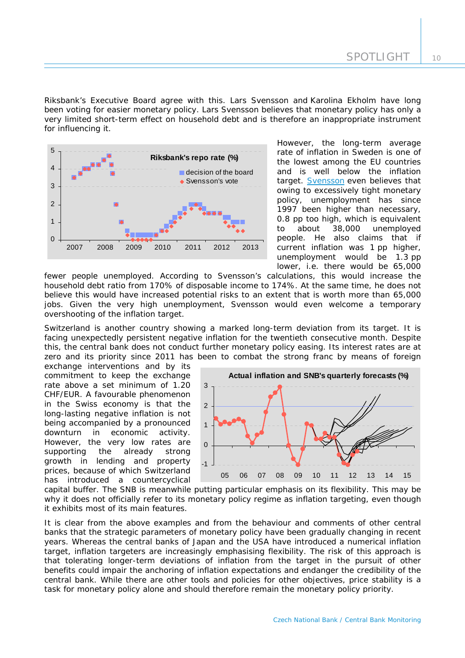10

Riksbank's Executive Board agree with this. Lars Svensson and Karolina Ekholm have long been voting for easier monetary policy. Lars Svensson believes that monetary policy has only a very limited short-term effect on household debt and is therefore an inappropriate instrument for influencing it.



However, the long-term average rate of inflation in Sweden is one of the lowest among the EU countries and is well below the inflation target. **[Svensson](http://www.riksbank.se/Documents/Tal/Svensson/2013/tal_svensson_130116_eng.pdf)** even believes that owing to excessively tight monetary policy, unemployment has since 1997 been higher than necessary, 0.8 pp too high, which is equivalent to about 38,000 unemployed people. He also claims that if current inflation was 1 pp higher, unemployment would be 1.3 pp lower, i.e. there would be 65,000

fewer people unemployed. According to Svensson's calculations, this would increase the household debt ratio from 170% of disposable income to 174%. At the same time, he does not believe this would have increased potential risks to an extent that is worth more than 65,000 jobs. Given the very high unemployment, Svensson would even welcome a temporary overshooting of the inflation target.

Switzerland is another country showing a marked long-term deviation from its target. It is facing unexpectedly persistent negative inflation for the twentieth consecutive month. Despite this, the central bank does not conduct further monetary policy easing. Its interest rates are at zero and its priority since 2011 has b een to combat the strong franc by means of foreign

exchange interventions and by its commitment to keep the exchange rate above a set minimum of 1.20 CHF/EUR. A favourable phenomenon in the Swiss economy is that the long-lasting negative inflation is not being accompanied by a pronounced downturn in economic activity. However, the very low rates are supporting the already strong growth in lending and property prices, because of which Switzerland has introduced a countercyclical



why it does not officially refer to its monetary policy regime as inflation targeting, even though capital buffer. The SNB is meanwhile putting particular emphasis on its flexibility. This may be it exhibits most of its main features.

central bank. While there are other tools and policies for other objectives, price stability is a task for monetary policy alone and should therefore remain the monetary policy priority. It is clear from the above examples and from the behaviour and comments of other central banks that the strategic parameters of monetary policy have been gradually changing in recent years. Whereas the central banks of Japan and the USA have introduced a numerical inflation target, inflation targeters are increasingly emphasising flexibility. The risk of this approach is that tolerating longer-term deviations of inflation from the target in the pursuit of other benefits could impair the anchoring of inflation expectations and endanger the credibility of the